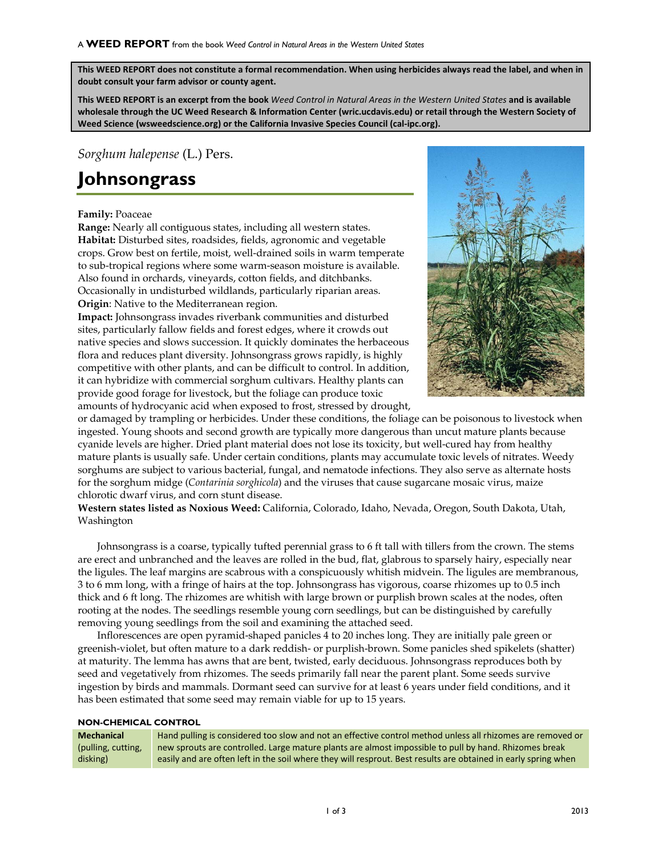**This WEED REPORT does not constitute a formal recommendation. When using herbicides always read the label, and when in doubt consult your farm advisor or county agent.**

**This WEED REPORT is an excerpt from the book** *Weed Control in Natural Areas in the Western United States* **and is available wholesale through the UC Weed Research & Information Center (wric.ucdavis.edu) or retail through the Western Society of Weed Science (wsweedscience.org) or the California Invasive Species Council (cal-ipc.org).**

*Sorghum halepense* (L.) Pers.

## **Johnsongrass**

## **Family:** Poaceae

**Range:** Nearly all contiguous states, including all western states. **Habitat:** Disturbed sites, roadsides, fields, agronomic and vegetable crops. Grow best on fertile, moist, well-drained soils in warm temperate to sub-tropical regions where some warm-season moisture is available. Also found in orchards, vineyards, cotton fields, and ditchbanks. Occasionally in undisturbed wildlands, particularly riparian areas. **Origin**: Native to the Mediterranean region.

**Impact:** Johnsongrass invades riverbank communities and disturbed sites, particularly fallow fields and forest edges, where it crowds out native species and slows succession. It quickly dominates the herbaceous flora and reduces plant diversity. Johnsongrass grows rapidly, is highly competitive with other plants, and can be difficult to control. In addition, it can hybridize with commercial sorghum cultivars. Healthy plants can provide good forage for livestock, but the foliage can produce toxic amounts of hydrocyanic acid when exposed to frost, stressed by drought,



or damaged by trampling or herbicides. Under these conditions, the foliage can be poisonous to livestock when ingested. Young shoots and second growth are typically more dangerous than uncut mature plants because cyanide levels are higher. Dried plant material does not lose its toxicity, but well-cured hay from healthy mature plants is usually safe. Under certain conditions, plants may accumulate toxic levels of nitrates. Weedy sorghums are subject to various bacterial, fungal, and nematode infections. They also serve as alternate hosts for the sorghum midge (*Contarinia sorghicola*) and the viruses that cause sugarcane mosaic virus, maize chlorotic dwarf virus, and corn stunt disease.

**Western states listed as Noxious Weed:** California, Colorado, Idaho, Nevada, Oregon, South Dakota, Utah, Washington

Johnsongrass is a coarse, typically tufted perennial grass to 6 ft tall with tillers from the crown. The stems are erect and unbranched and the leaves are rolled in the bud, flat, glabrous to sparsely hairy, especially near the ligules. The leaf margins are scabrous with a conspicuously whitish midvein. The ligules are membranous, 3 to 6 mm long, with a fringe of hairs at the top. Johnsongrass has vigorous, coarse rhizomes up to 0.5 inch thick and 6 ft long. The rhizomes are whitish with large brown or purplish brown scales at the nodes, often rooting at the nodes. The seedlings resemble young corn seedlings, but can be distinguished by carefully removing young seedlings from the soil and examining the attached seed.

Inflorescences are open pyramid-shaped panicles 4 to 20 inches long. They are initially pale green or greenish-violet, but often mature to a dark reddish- or purplish-brown. Some panicles shed spikelets (shatter) at maturity. The lemma has awns that are bent, twisted, early deciduous. Johnsongrass reproduces both by seed and vegetatively from rhizomes. The seeds primarily fall near the parent plant. Some seeds survive ingestion by birds and mammals. Dormant seed can survive for at least 6 years under field conditions, and it has been estimated that some seed may remain viable for up to 15 years.

## **NON-CHEMICAL CONTROL**

| Mechanical         | Hand pulling is considered too slow and not an effective control method unless all rhizomes are removed or     |
|--------------------|----------------------------------------------------------------------------------------------------------------|
| (pulling, cutting, | new sprouts are controlled. Large mature plants are almost impossible to pull by hand. Rhizomes break          |
| disking)           | easily and are often left in the soil where they will resprout. Best results are obtained in early spring when |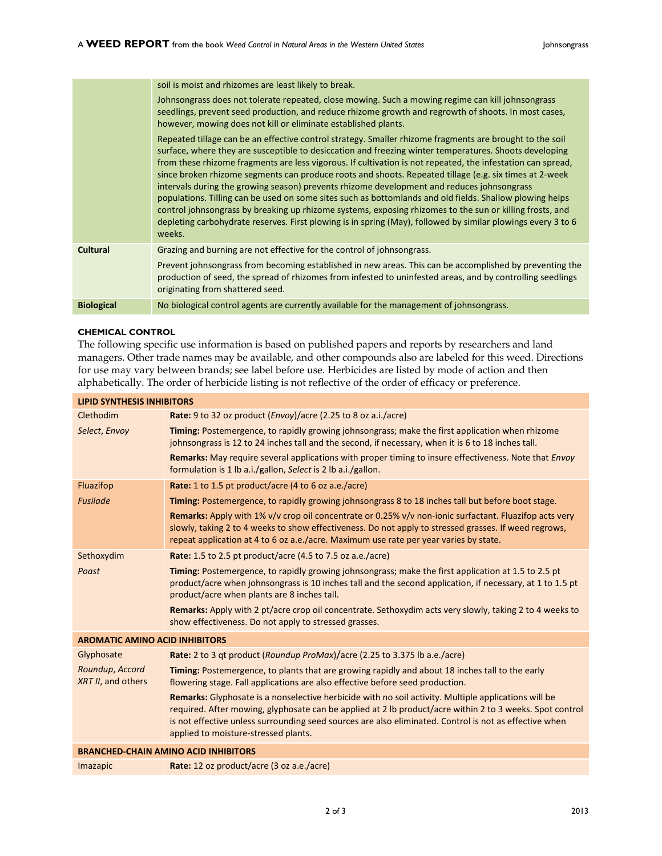|                   | soil is moist and rhizomes are least likely to break.                                                                                                                                                                                                                                                                                                                                                                                                                                                                                                                                                                                                                                                                                                                                                                                                                                       |
|-------------------|---------------------------------------------------------------------------------------------------------------------------------------------------------------------------------------------------------------------------------------------------------------------------------------------------------------------------------------------------------------------------------------------------------------------------------------------------------------------------------------------------------------------------------------------------------------------------------------------------------------------------------------------------------------------------------------------------------------------------------------------------------------------------------------------------------------------------------------------------------------------------------------------|
|                   | Johnsongrass does not tolerate repeated, close mowing. Such a mowing regime can kill johnsongrass<br>seedlings, prevent seed production, and reduce rhizome growth and regrowth of shoots. In most cases,<br>however, mowing does not kill or eliminate established plants.                                                                                                                                                                                                                                                                                                                                                                                                                                                                                                                                                                                                                 |
|                   | Repeated tillage can be an effective control strategy. Smaller rhizome fragments are brought to the soil<br>surface, where they are susceptible to desiccation and freezing winter temperatures. Shoots developing<br>from these rhizome fragments are less vigorous. If cultivation is not repeated, the infestation can spread,<br>since broken rhizome segments can produce roots and shoots. Repeated tillage (e.g. six times at 2-week<br>intervals during the growing season) prevents rhizome development and reduces johnsongrass<br>populations. Tilling can be used on some sites such as bottomlands and old fields. Shallow plowing helps<br>control johnsongrass by breaking up rhizome systems, exposing rhizomes to the sun or killing frosts, and<br>depleting carbohydrate reserves. First plowing is in spring (May), followed by similar plowings every 3 to 6<br>weeks. |
| <b>Cultural</b>   | Grazing and burning are not effective for the control of johnsongrass.                                                                                                                                                                                                                                                                                                                                                                                                                                                                                                                                                                                                                                                                                                                                                                                                                      |
|                   | Prevent johnsongrass from becoming established in new areas. This can be accomplished by preventing the<br>production of seed, the spread of rhizomes from infested to uninfested areas, and by controlling seedlings<br>originating from shattered seed.                                                                                                                                                                                                                                                                                                                                                                                                                                                                                                                                                                                                                                   |
| <b>Biological</b> | No biological control agents are currently available for the management of johnsongrass.                                                                                                                                                                                                                                                                                                                                                                                                                                                                                                                                                                                                                                                                                                                                                                                                    |

## **CHEMICAL CONTROL**

The following specific use information is based on published papers and reports by researchers and land managers. Other trade names may be available, and other compounds also are labeled for this weed. Directions for use may vary between brands; see label before use. Herbicides are listed by mode of action and then alphabetically. The order of herbicide listing is not reflective of the order of efficacy or preference.

| <b>LIPID SYNTHESIS INHIBITORS</b>                                                                                                                                                                                                                                                                                                                                  |  |  |
|--------------------------------------------------------------------------------------------------------------------------------------------------------------------------------------------------------------------------------------------------------------------------------------------------------------------------------------------------------------------|--|--|
| Rate: 9 to 32 oz product (Envoy)/acre (2.25 to 8 oz a.i./acre)                                                                                                                                                                                                                                                                                                     |  |  |
| Timing: Postemergence, to rapidly growing johnsongrass; make the first application when rhizome<br>johnsongrass is 12 to 24 inches tall and the second, if necessary, when it is 6 to 18 inches tall.                                                                                                                                                              |  |  |
| Remarks: May require several applications with proper timing to insure effectiveness. Note that <i>Envoy</i><br>formulation is 1 lb a.i./gallon, Select is 2 lb a.i./gallon.                                                                                                                                                                                       |  |  |
| <b>Rate:</b> 1 to 1.5 pt product/acre (4 to 6 oz a.e./acre)                                                                                                                                                                                                                                                                                                        |  |  |
| Timing: Postemergence, to rapidly growing johnsongrass 8 to 18 inches tall but before boot stage.                                                                                                                                                                                                                                                                  |  |  |
| Remarks: Apply with 1% v/v crop oil concentrate or 0.25% v/v non-ionic surfactant. Fluazifop acts very<br>slowly, taking 2 to 4 weeks to show effectiveness. Do not apply to stressed grasses. If weed regrows,<br>repeat application at 4 to 6 oz a.e./acre. Maximum use rate per year varies by state.                                                           |  |  |
| <b>Rate:</b> 1.5 to 2.5 pt product/acre (4.5 to 7.5 oz a.e./acre)                                                                                                                                                                                                                                                                                                  |  |  |
| Timing: Postemergence, to rapidly growing johnsongrass; make the first application at 1.5 to 2.5 pt<br>product/acre when johnsongrass is 10 inches tall and the second application, if necessary, at 1 to 1.5 pt<br>product/acre when plants are 8 inches tall.                                                                                                    |  |  |
| Remarks: Apply with 2 pt/acre crop oil concentrate. Sethoxydim acts very slowly, taking 2 to 4 weeks to<br>show effectiveness. Do not apply to stressed grasses.                                                                                                                                                                                                   |  |  |
| <b>AROMATIC AMINO ACID INHIBITORS</b>                                                                                                                                                                                                                                                                                                                              |  |  |
| Rate: 2 to 3 qt product (Roundup ProMax)/acre (2.25 to 3.375 lb a.e./acre)                                                                                                                                                                                                                                                                                         |  |  |
| Timing: Postemergence, to plants that are growing rapidly and about 18 inches tall to the early<br>flowering stage. Fall applications are also effective before seed production.                                                                                                                                                                                   |  |  |
| Remarks: Glyphosate is a nonselective herbicide with no soil activity. Multiple applications will be<br>required. After mowing, glyphosate can be applied at 2 lb product/acre within 2 to 3 weeks. Spot control<br>is not effective unless surrounding seed sources are also eliminated. Control is not as effective when<br>applied to moisture-stressed plants. |  |  |
| <b>BRANCHED-CHAIN AMINO ACID INHIBITORS</b>                                                                                                                                                                                                                                                                                                                        |  |  |
| Rate: 12 oz product/acre (3 oz a.e./acre)                                                                                                                                                                                                                                                                                                                          |  |  |
|                                                                                                                                                                                                                                                                                                                                                                    |  |  |